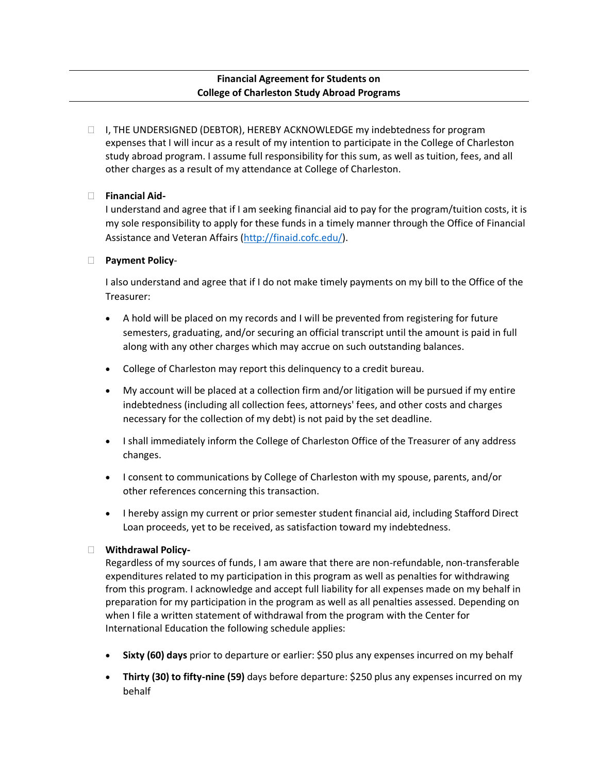# **Financial Agreement for Students on College of Charleston Study Abroad Programs**

□ I, THE UNDERSIGNED (DEBTOR), HEREBY ACKNOWLEDGE my indebtedness for program expenses that I will incur as a result of my intention to participate in the College of Charleston study abroad program. I assume full responsibility for this sum, as well as tuition, fees, and all other charges as a result of my attendance at College of Charleston.

## **Financial Aid-**

I understand and agree that if I am seeking financial aid to pay for the program/tuition costs, it is my sole responsibility to apply for these funds in a timely manner through the Office of Financial Assistance and Veteran Affairs [\(http://finaid.cofc.edu/\)](http://finaid.cofc.edu/).

## **Payment Policy**-

I also understand and agree that if I do not make timely payments on my bill to the Office of the Treasurer:

- A hold will be placed on my records and I will be prevented from registering for future semesters, graduating, and/or securing an official transcript until the amount is paid in full along with any other charges which may accrue on such outstanding balances.
- College of Charleston may report this delinquency to a credit bureau.
- My account will be placed at a collection firm and/or litigation will be pursued if my entire indebtedness (including all collection fees, attorneys' fees, and other costs and charges necessary for the collection of my debt) is not paid by the set deadline.
- I shall immediately inform the College of Charleston Office of the Treasurer of any address changes.
- I consent to communications by College of Charleston with my spouse, parents, and/or other references concerning this transaction.
- I hereby assign my current or prior semester student financial aid, including Stafford Direct Loan proceeds, yet to be received, as satisfaction toward my indebtedness.

# **Withdrawal Policy-**

Regardless of my sources of funds, I am aware that there are non-refundable, non-transferable expenditures related to my participation in this program as well as penalties for withdrawing from this program. I acknowledge and accept full liability for all expenses made on my behalf in preparation for my participation in the program as well as all penalties assessed. Depending on when I file a written statement of withdrawal from the program with the Center for International Education the following schedule applies:

- **Sixty (60) days** prior to departure or earlier: \$50 plus any expenses incurred on my behalf
- **Thirty (30) to fifty-nine (59)** days before departure: \$250 plus any expenses incurred on my behalf